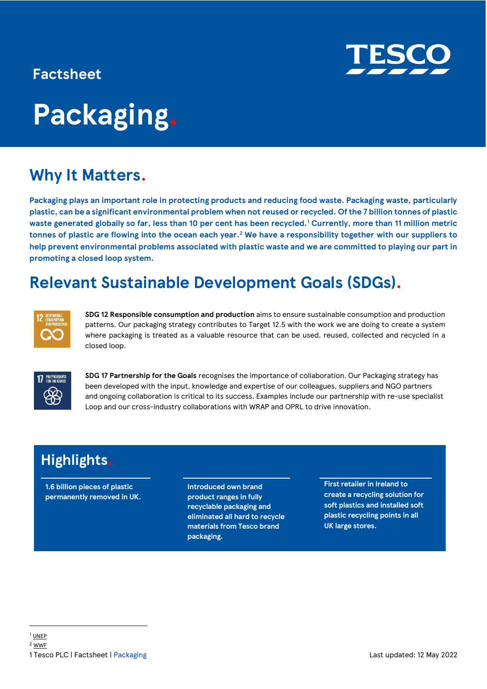### **Factsheet**

# **Packaging.**

### **Why It Matters.**

**Packaging plays an important role in protecting products and reducing food waste. Packaging waste, particularly plastic, can be a significant environmental problem when not reused or recycled. Of the 7 billion tonnes of plastic waste generated globally so far, less than 10 per cent has been recycled.<sup>1</sup> Currently, more than 11 million metric tonnes of plastic are flowing into the ocean each year.<sup>2</sup> We have a responsibility together with our suppliers to help prevent environmental problems associated with plastic waste and we are committed to playing our part in promoting a closed loop system.**

### **Relevant Sustainable Development Goals (SDGs).**



**SDG 12 Responsible consumption and production** aims to ensure sustainable consumption and production patterns. Our packaging strategy contributes to Target 12.5 with the work we are doing to create a system where packaging is treated as a valuable resource that can be used, reused, collected and recycled in a closed loop.



**SDG 17 Partnership for the Goals** recognises the importance of collaboration. Our Packaging strategy has been developed with the input, knowledge and expertise of our colleagues, suppliers and NGO partners and ongoing collaboration is critical to its success. Examples include our partnership with re-use specialist Loop and our cross-industry collaborations with WRAP and OPRL to drive innovation.

### **Highlights.**

**1.6 billion pieces of plastic permanently removed in UK.** **Introduced own brand product ranges in fully recyclable packaging and eliminated all hard to recycle materials from Tesco brand packaging.**

**First retailer in Ireland to create a recycling solution for soft plastics and installed soft plastic recycling points in all UK large stores.**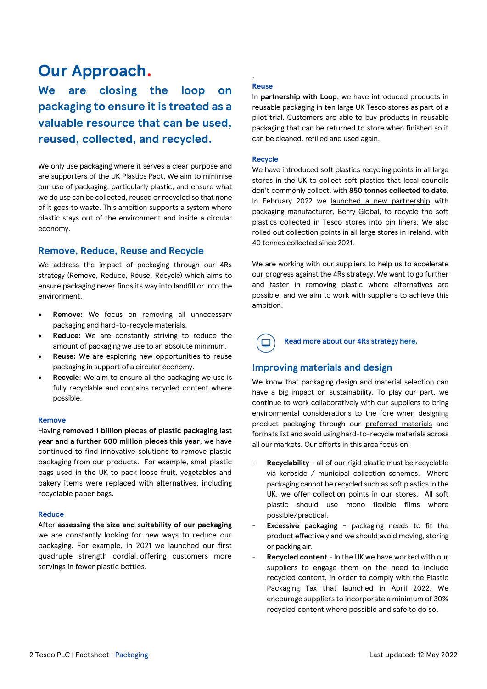### **Our Approach.**

**We are closing the loop on packaging to ensure it is treated as a valuable resource that can be used, reused, collected, and recycled.**

We only use packaging where it serves a clear purpose and are supporters of the UK Plastics Pact. We aim to minimise our use of packaging, particularly plastic, and ensure what we do use can be collected, reused or recycled so that none of it goes to waste. This ambition supports a system where plastic stays out of the environment and inside a circular economy.

### **Remove, Reduce, Reuse and Recycle**

We address the impact of packaging through our 4Rs strategy (Remove, Reduce, Reuse, Recycle) which aims to ensure packaging never finds its way into landfill or into the environment.

- **Remove:** We focus on removing all unnecessary packaging and hard-to-recycle materials.
- Reduce: We are constantly striving to reduce the amount of packaging we use to an absolute minimum.
- **Reuse:** We are exploring new opportunities to reuse packaging in support of a circular economy.
- **Recycle:** We aim to ensure all the packaging we use is fully recyclable and contains recycled content where possible.

#### **Remove**

Having **removed 1 billion pieces of plastic packaging last year and a further 600 million pieces this year**, we have continued to find innovative solutions to remove plastic packaging from our products. For example, small plastic bags used in the UK to pack loose fruit, vegetables and bakery items were replaced with alternatives, including recyclable paper bags.

#### **Reduce**

After **assessing the size and suitability of our packaging** we are constantly looking for new ways to reduce our packaging. For example, in 2021 we launched our first quadruple strength cordial, offering customers more servings in fewer plastic bottles.

#### **Reuse**

.

In **partnership with Loop**, we have introduced products in reusable packaging in ten large UK Tesco stores as part of a pilot trial. Customers are able to buy products in reusable packaging that can be returned to store when finished so it can be cleaned, refilled and used again.

#### **Recycle**

We have introduced soft plastics recycling points in all large stores in the UK to collect soft plastics that local councils don't commonly collect, with **850 tonnes collected to date**. In February 2022 we [launched a new partnership](https://www.tescoplc.com/news/2022/soft-plastics-collected-at-tesco-to-become-bin-liners-in-new-recycling-solution/) with packaging manufacturer, Berry Global, to recycle the soft plastics collected in Tesco stores into bin liners. We also rolled out collection points in all large stores in Ireland, with 40 tonnes collected since 2021.

We are working with our suppliers to help us to accelerate our progress against the 4Rs strategy. We want to go further and faster in removing plastic where alternatives are possible, and we aim to work with suppliers to achieve this ambition.



### **Improving materials and design**

We know that packaging design and material selection can have a big impact on sustainability. To play our part, we continue to work collaboratively with our suppliers to bring environmental considerations to the fore when designing product packaging through our [preferred materials](https://www.tescoplc.com/media/757460/uk-preferred-materials-formats-guidelines-2022.pdf) and formats list and avoid using hard-to-recycle materials across all our markets. Our efforts in this area focus on:

- **Recyclability** all of our rigid plastic must be recyclable via kerbside / municipal collection schemes. Where packaging cannot be recycled such as soft plastics in the UK, we offer collection points in our stores. All soft plastic should use mono flexible films where possible/practical.
- **Excessive packaging packaging needs to fit the** product effectively and we should avoid moving, storing or packing air.
- Recycled content In the UK we have worked with our suppliers to engage them on the need to include recycled content, in order to comply with the Plastic Packaging Tax that launched in April 2022. We encourage suppliers to incorporate a minimum of 30% recycled content where possible and safe to do so.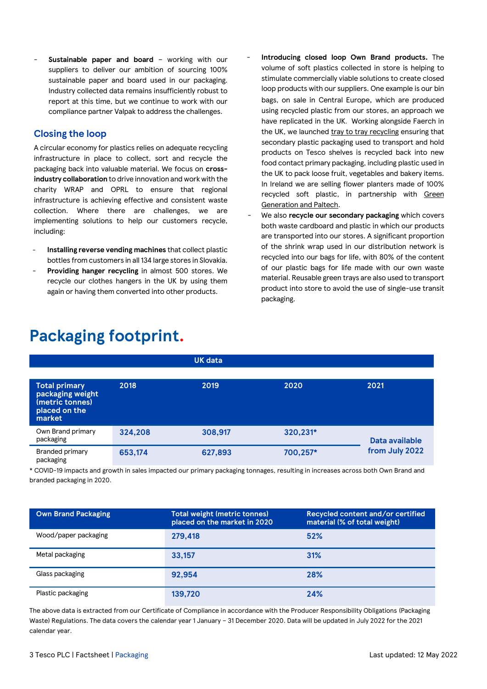**Sustainable paper and board - working with our** suppliers to deliver our ambition of sourcing 100% sustainable paper and board used in our packaging. Industry collected data remains insufficiently robust to report at this time, but we continue to work with our compliance partner Valpak to address the challenges.

### **Closing the loop**

A circular economy for plastics relies on adequate recycling infrastructure in place to collect, sort and recycle the packaging back into valuable material. We focus on **crossindustry collaboration** to drive innovation and work with the charity WRAP and OPRL to ensure that regional infrastructure is achieving effective and consistent waste collection. Where there are challenges, we are implementing solutions to help our customers recycle, including:

- **Installing reverse vending machines** that collect plastic bottles from customers in all 134 large stores in Slovakia.
- **Providing hanger recycling** in almost 500 stores. We recycle our clothes hangers in the UK by using them again or having them converted into other products.
- **Introducing closed loop Own Brand products.** The volume of soft plastics collected in store is helping to stimulate commercially viable solutions to create closed loop products with our suppliers. One example is our bin bags, on sale in Central Europe, which are produced using recycled plastic from our stores, an approach we have replicated in the UK. Working alongside Faerch in the UK, we launche[d tray to tray recycling](https://www.tescoplc.com/news/2021/tesco-and-faerch-launch-pet-tray-to-tray-recycling-initiative/) ensuring that secondary plastic packaging used to transport and hold products on Tesco shelves is recycled back into new food contact primary packaging, including plastic used in the UK to pack loose fruit, vegetables and bakery items. In Ireland we are selling flower planters made of 100% recycled soft plastic, in partnership with [Green](https://tescoireland.ie/news/2022/tesco-and-paltech-collaborate-to-bring-waste-plastic-flowerpot-to-the-irish-market/)  [Generation and Paltech.](https://tescoireland.ie/news/2022/tesco-and-paltech-collaborate-to-bring-waste-plastic-flowerpot-to-the-irish-market/)
- We also **recycle our secondary packaging** which covers both waste cardboard and plastic in which our products are transported into our stores. A significant proportion of the shrink wrap used in our distribution network is recycled into our bags for life, with 80% of the content of our plastic bags for life made with our own waste material. Reusable green trays are also used to transport product into store to avoid the use of single-use transit packaging.

| <b>Total primary</b><br>packaging weight<br>(metric tonnes)<br>placed on the<br>market | 2018    | 2019    | 2020     | 2021           |  |
|----------------------------------------------------------------------------------------|---------|---------|----------|----------------|--|
| Own Brand primary<br>packaging                                                         | 324,208 | 308,917 | 320,231* | Data available |  |
| <b>Branded primary</b><br>packaging                                                    | 653,174 | 627,893 | 700,257* | from July 2022 |  |

 **UK data**

### **Packaging footprint.**

\* COVID-19 impacts and growth in sales impacted our primary packaging tonnages, resulting in increases across both Own Brand and branded packaging in 2020.

| <b>Own Brand Packaging</b> | <b>Total weight (metric tonnes)</b><br>placed on the market in 2020 | Recycled content and/or certified<br>material (% of total weight) |
|----------------------------|---------------------------------------------------------------------|-------------------------------------------------------------------|
| Wood/paper packaging       | 279.418                                                             | 52%                                                               |
| Metal packaging            | 33.157                                                              | 31%                                                               |
| Glass packaging            | 92.954                                                              | 28%                                                               |
| Plastic packaging          | 139,720                                                             | 24%                                                               |

The above data is extracted from our Certificate of Compliance in accordance with the Producer Responsibility Obligations (Packaging Waste) Regulations. The data covers the calendar year 1 January – 31 December 2020. Data will be updated in July 2022 for the 2021 calendar year.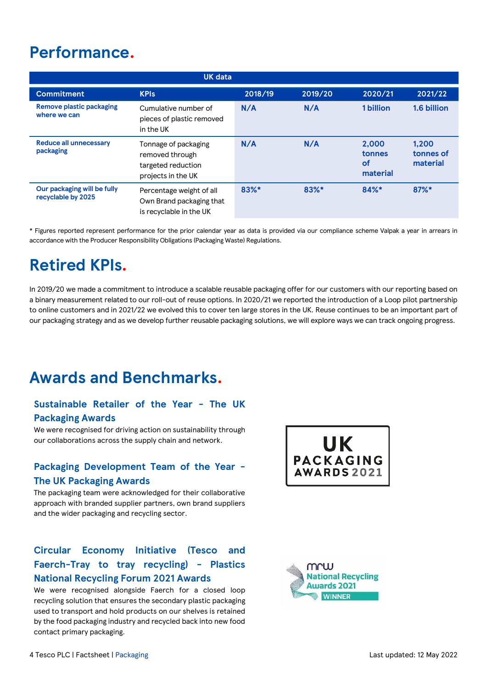### **Performance.**

|                                                   | <b>UK data</b>                                                                      |         |         |                                          |                                |
|---------------------------------------------------|-------------------------------------------------------------------------------------|---------|---------|------------------------------------------|--------------------------------|
| <b>Commitment</b>                                 | <b>KPIs</b>                                                                         | 2018/19 | 2019/20 | 2020/21                                  | 2021/22                        |
| <b>Remove plastic packaging</b><br>where we can   | Cumulative number of<br>pieces of plastic removed<br>in the UK                      | N/A     | N/A     | 1 billion                                | 1.6 billion                    |
| <b>Reduce all unnecessary</b><br>packaging        | Tonnage of packaging<br>removed through<br>targeted reduction<br>projects in the UK | N/A     | N/A     | 2.000<br>tonnes<br><b>of</b><br>material | 1.200<br>tonnes of<br>material |
| Our packaging will be fully<br>recyclable by 2025 | Percentage weight of all<br>Own Brand packaging that<br>is recyclable in the UK     | 83%*    | 83%*    | $84%$ *                                  | $87\%$ *                       |

\* Figures reported represent performance for the prior calendar year as data is provided via our compliance scheme Valpak a year in arrears in accordance with the Producer Responsibility Obligations (Packaging Waste) Regulations.

### **Retired KPIs.**

In 2019/20 we made a commitment to introduce a scalable reusable packaging offer for our customers with our reporting based on a binary measurement related to our roll-out of reuse options. In 2020/21 we reported the introduction of a Loop pilot partnership to online customers and in 2021/22 we evolved this to cover ten large stores in the UK. Reuse continues to be an important part of our packaging strategy and as we develop further reusable packaging solutions, we will explore ways we can track ongoing progress.

### **Awards and Benchmarks.**

### **Sustainable Retailer of the Year - The UK Packaging Awards**

We were recognised for driving action on sustainability through our collaborations across the supply chain and network.

### **Packaging Development Team of the Year - The UK Packaging Awards**

The packaging team were acknowledged for their collaborative approach with branded supplier partners, own brand suppliers and the wider packaging and recycling sector.

### **Circular Economy Initiative (Tesco and Faerch-Tray to tray recycling) - Plastics National Recycling Forum 2021 Awards**

We were recognised alongside Faerch for a closed loop recycling solution that ensures the secondary plastic packaging used to transport and hold products on our shelves is retained by the food packaging industry and recycled back into new food contact primary packaging.



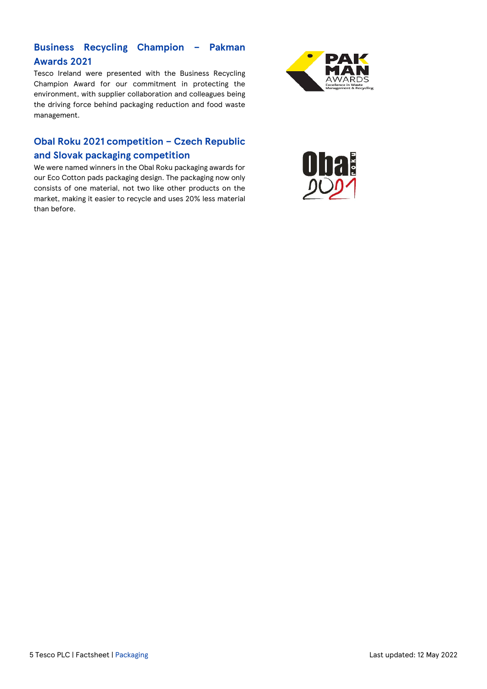### **Business Recycling Champion – Pakman Awards 2021**

Tesco Ireland were presented with the Business Recycling Champion Award for our commitment in protecting the environment, with supplier collaboration and colleagues being the driving force behind packaging reduction and food waste management.

### **Obal Roku 2021 competition – Czech Republic**

### **and Slovak packaging competition**

We were named winners in the Obal Roku packaging awards for our Eco Cotton pads packaging design. The packaging now only consists of one material, not two like other products on the market, making it easier to recycle and uses 20% less material than before.



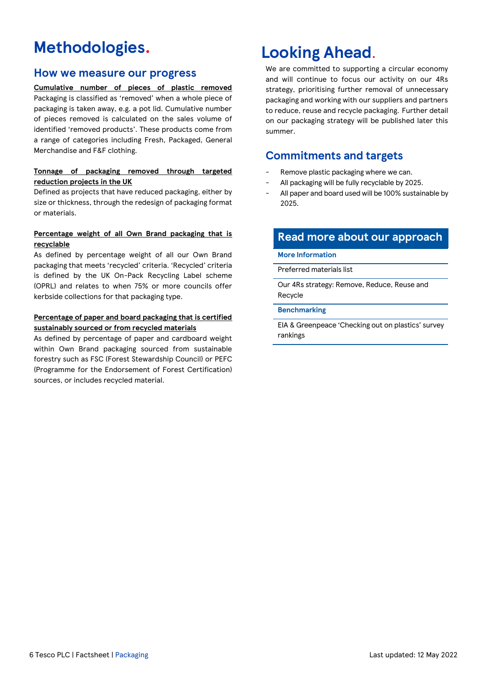### **Methodologies.**

### **How we measure our progress**

**Cumulative number of pieces of plastic removed** Packaging is classified as 'removed' when a whole piece of packaging is taken away, e.g. a pot lid. Cumulative number of pieces removed is calculated on the sales volume of identified 'removed products'. These products come from a range of categories including Fresh, Packaged, General Merchandise and F&F clothing.

#### **Tonnage of packaging removed through targeted reduction projects in the UK**

Defined as projects that have reduced packaging, either by size or thickness, through the redesign of packaging format or materials.

### **Percentage weight of all Own Brand packaging that is recyclable**

As defined by percentage weight of all our Own Brand packaging that meets 'recycled' criteria. 'Recycled' criteria is defined by the UK On-Pack Recycling Label scheme (OPRL) and relates to when 75% or more councils offer kerbside collections for that packaging type.

#### **Percentage of paper and board packaging that is certified sustainably sourced or from recycled materials**

As defined by percentage of paper and cardboard weight within Own Brand packaging sourced from sustainable forestry such as FSC (Forest Stewardship Council) or PEFC (Programme for the Endorsement of Forest Certification) sources, or includes recycled material.

### **Looking Ahead**.

We are committed to supporting a circular economy and will continue to focus our activity on our 4Rs strategy, prioritising further removal of unnecessary packaging and working with our suppliers and partners to reduce, reuse and recycle packaging. Further detail on our packaging strategy will be published later this summer.

### **Commitments and targets**

- Remove plastic packaging where we can.
- All packaging will be fully recyclable by 2025.
- All paper and board used will be 100% sustainable by 2025.

### **Read more about our approach**

**More Information**

[Preferred materials list](https://www.tescoplc.com/media/757460/uk-preferred-materials-formats-guidelines-2022.pdf)

[Our 4Rs strategy: Remove, Reduce, Reuse and](https://www.tescoplc.com/sustainability/taking-action/environment/packaging/)  [Recycle](https://www.tescoplc.com/sustainability/taking-action/environment/packaging/)

#### **Benchmarking**

EIA [& Greenpeace 'Checking out on plastics' survey](https://eia-international.org/wp-content/uploads/Checking-out-on-plastics.pdf)  [rankings](https://eia-international.org/wp-content/uploads/Checking-out-on-plastics.pdf)